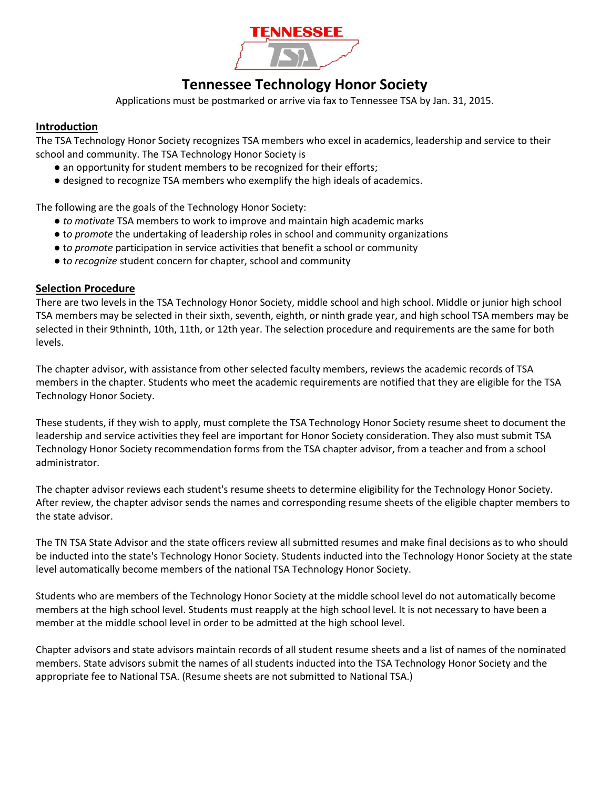

# **Tennessee Technology Honor Society**

Applications must be postmarked or arrive via fax to Tennessee TSA by Jan. 31, 2015.

### **Introduction**

The TSA Technology Honor Society recognizes TSA members who excel in academics, leadership and service to their school and community. The TSA Technology Honor Society is

- an opportunity for student members to be recognized for their efforts;
- designed to recognize TSA members who exemplify the high ideals of academics.

The following are the goals of the Technology Honor Society:

- *to motivate* TSA members to work to improve and maintain high academic marks
- t*o promote* the undertaking of leadership roles in school and community organizations
- t*o promote* participation in service activities that benefit a school or community
- t*o recognize* student concern for chapter, school and community

#### **Selection Procedure**

There are two levels in the TSA Technology Honor Society, middle school and high school. Middle or junior high school TSA members may be selected in their sixth, seventh, eighth, or ninth grade year, and high school TSA members may be selected in their 9thninth, 10th, 11th, or 12th year. The selection procedure and requirements are the same for both levels.

The chapter advisor, with assistance from other selected faculty members, reviews the academic records of TSA members in the chapter. Students who meet the academic requirements are notified that they are eligible for the TSA Technology Honor Society.

These students, if they wish to apply, must complete the TSA Technology Honor Society resume sheet to document the leadership and service activities they feel are important for Honor Society consideration. They also must submit TSA Technology Honor Society recommendation forms from the TSA chapter advisor, from a teacher and from a school administrator.

The chapter advisor reviews each student's resume sheets to determine eligibility for the Technology Honor Society. After review, the chapter advisor sends the names and corresponding resume sheets of the eligible chapter members to the state advisor.

The TN TSA State Advisor and the state officers review all submitted resumes and make final decisions as to who should be inducted into the state's Technology Honor Society. Students inducted into the Technology Honor Society at the state level automatically become members of the national TSA Technology Honor Society.

Students who are members of the Technology Honor Society at the middle school level do not automatically become members at the high school level. Students must reapply at the high school level. It is not necessary to have been a member at the middle school level in order to be admitted at the high school level.

Chapter advisors and state advisors maintain records of all student resume sheets and a list of names of the nominated members. State advisors submit the names of all students inducted into the TSA Technology Honor Society and the appropriate fee to National TSA. (Resume sheets are not submitted to National TSA.)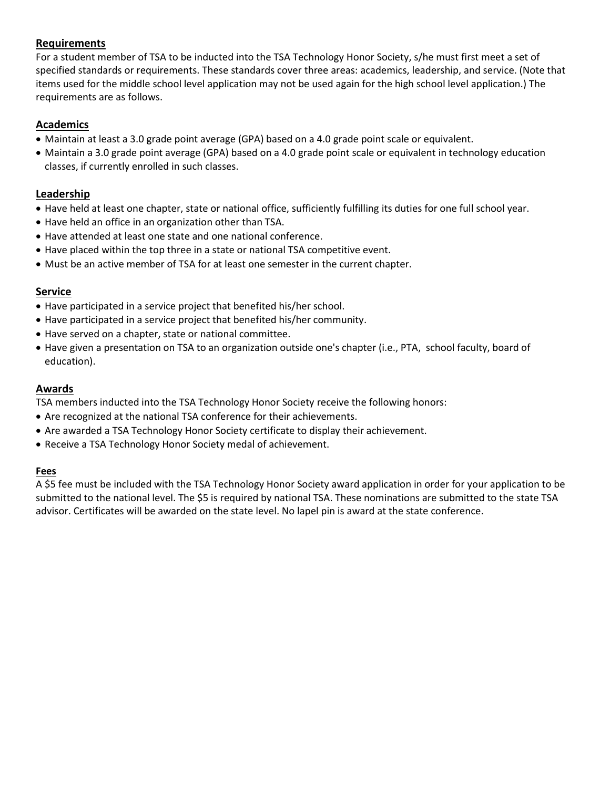# **Requirements**

For a student member of TSA to be inducted into the TSA Technology Honor Society, s/he must first meet a set of specified standards or requirements. These standards cover three areas: academics, leadership, and service. (Note that items used for the middle school level application may not be used again for the high school level application.) The requirements are as follows.

## **Academics**

- Maintain at least a 3.0 grade point average (GPA) based on a 4.0 grade point scale or equivalent.
- Maintain a 3.0 grade point average (GPA) based on a 4.0 grade point scale or equivalent in technology education classes, if currently enrolled in such classes.

### **Leadership**

- Have held at least one chapter, state or national office, sufficiently fulfilling its duties for one full school year.
- Have held an office in an organization other than TSA.
- Have attended at least one state and one national conference.
- Have placed within the top three in a state or national TSA competitive event.
- Must be an active member of TSA for at least one semester in the current chapter.

#### **Service**

- Have participated in a service project that benefited his/her school.
- Have participated in a service project that benefited his/her community.
- Have served on a chapter, state or national committee.
- Have given a presentation on TSA to an organization outside one's chapter (i.e., PTA, school faculty, board of education).

### **Awards**

TSA members inducted into the TSA Technology Honor Society receive the following honors:

- Are recognized at the national TSA conference for their achievements.
- Are awarded a TSA Technology Honor Society certificate to display their achievement.
- Receive a TSA Technology Honor Society medal of achievement.

#### **Fees**

A \$5 fee must be included with the TSA Technology Honor Society award application in order for your application to be submitted to the national level. The \$5 is required by national TSA. These nominations are submitted to the state TSA advisor. Certificates will be awarded on the state level. No lapel pin is award at the state conference.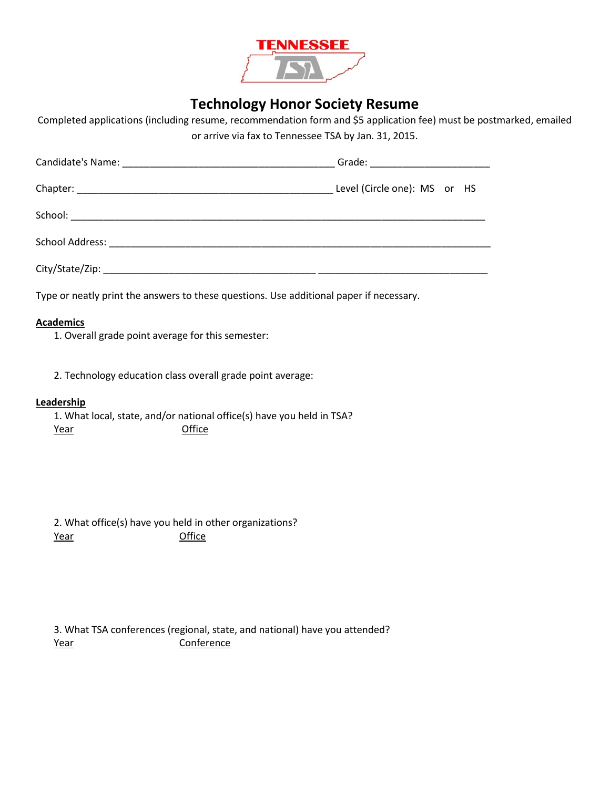

# **Technology Honor Society Resume**

Completed applications (including resume, recommendation form and \$5 application fee) must be postmarked, emailed or arrive via fax to Tennessee TSA by Jan. 31, 2015.

| Type or neatly print the answers to these questions. Use additional paper if necessary. |  |
|-----------------------------------------------------------------------------------------|--|

#### **Academics**

1. Overall grade point average for this semester:

2. Technology education class overall grade point average:

#### **Leadership**

1. What local, state, and/or national office(s) have you held in TSA? Year Office

2. What office(s) have you held in other organizations? Year **Office** 

3. What TSA conferences (regional, state, and national) have you attended? Year Conference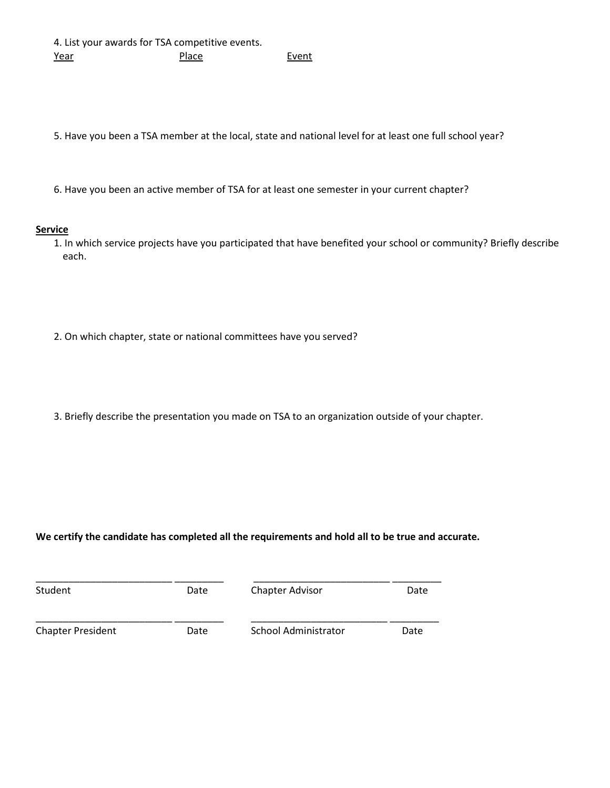4. List your awards for TSA competitive events. Year Place Place Event

5. Have you been a TSA member at the local, state and national level for at least one full school year?

6. Have you been an active member of TSA for at least one semester in your current chapter?

#### **Service**

1. In which service projects have you participated that have benefited your school or community? Briefly describe each.

- 2. On which chapter, state or national committees have you served?
- 3. Briefly describe the presentation you made on TSA to an organization outside of your chapter.

#### **We certify the candidate has completed all the requirements and hold all to be true and accurate.**

| Student                  | Date | <b>Chapter Advisor</b>      | Date |  |
|--------------------------|------|-----------------------------|------|--|
| <b>Chapter President</b> | Date | <b>School Administrator</b> | Date |  |